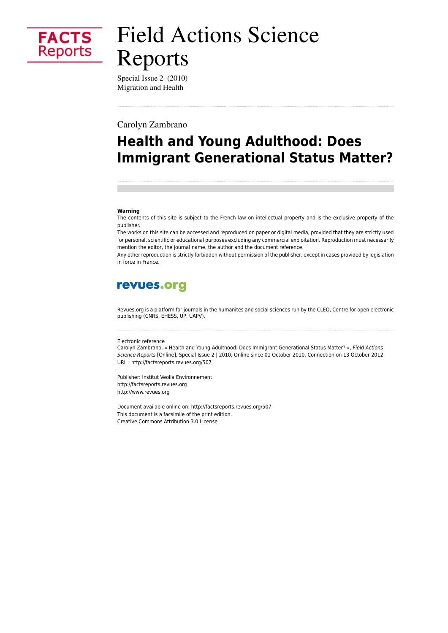

# **Field Actions Science** Reports

Special Issue 2 (2010) Migration and Health

Carolyn Zambrano

## **Health and Young Adulthood: Does Immigrant Generational Status Matter?**

#### Warning

The contents of this site is subject to the French law on intellectual property and is the exclusive property of the publisher.

The works on this site can be accessed and reproduced on paper or digital media, provided that they are strictly used for personal, scientific or educational purposes excluding any commercial exploitation. Reproduction must necessarily mention the editor, the journal name, the author and the document reference.

Any other reproduction is strictly forbidden without permission of the publisher, except in cases provided by legislation in force in France.

### revues.org

Revues.org is a platform for journals in the humanites and social sciences run by the CLEO, Centre for open electronic publishing (CNRS, EHESS, UP, UAPV).

#### Electronic reference

Carolyn Zambrano, « Health and Young Adulthood: Does Immigrant Generational Status Matter? », Field Actions Science Reports [Online], Special Issue 2 | 2010, Online since 01 October 2010, Connection on 13 October 2012. URL: http://factsreports.revues.org/507

Publisher: Institut Veolia Environnement http://factsreports.revues.org http://www.revues.org

Document available online on: http://factsreports.revues.org/507 This document is a facsimile of the print edition. Creative Commons Attribution 3.0 License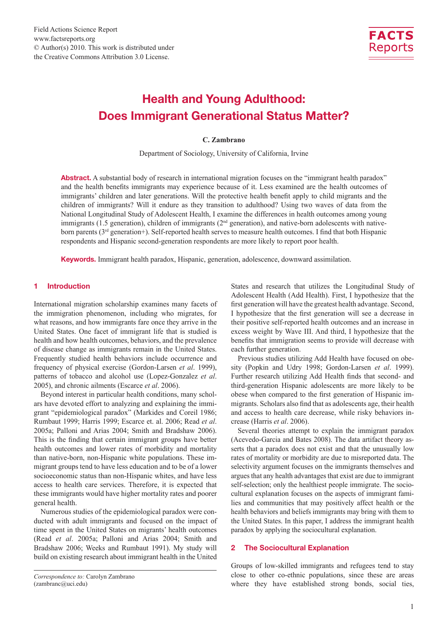

### Health and Young Adulthood: Does Immigrant Generational Status Matter?

#### **C. Zambrano**

Department of Sociology, University of California, Irvine

Abstract. A substantial body of research in international migration focuses on the "immigrant health paradox" and the health benefits immigrants may experience because of it. Less examined are the health outcomes of immigrants' children and later generations. Will the protective health benefit apply to child migrants and the children of immigrants? Will it endure as they transition to adulthood? Using two waves of data from the National Longitudinal Study of Adolescent Health, I examine the differences in health outcomes among young immigrants (1.5 generation), children of immigrants (2<sup>nd</sup> generation), and native-born adolescents with nativeborn parents ( $3<sup>rd</sup>$  generation+). Self-reported health serves to measure health outcomes. I find that both Hispanic respondents and Hispanic second-generation respondents are more likely to report poor health.

Keywords. Immigrant health paradox, Hispanic, generation, adolescence, downward assimilation.

#### 1 Introduction

International migration scholarship examines many facets of the immigration phenomenon, including who migrates, for what reasons, and how immigrants fare once they arrive in the United States. One facet of immigrant life that is studied is health and how health outcomes, behaviors, and the prevalence of disease change as immigrants remain in the United States. Frequently studied health behaviors include occurrence and frequency of physical exercise (Gordon-Larsen *et al*. 1999), patterns of tobacco and alcohol use (Lopez-Gonzalez *et al*. 2005), and chronic ailments (Escarce *et al*. 2006).

Beyond interest in particular health conditions, many scholars have devoted effort to analyzing and explaining the immigrant "epidemiological paradox" (Markides and Coreil 1986; Rumbaut 1999; Harris 1999; Escarce et. al. 2006; Read *et al*. 2005a; Palloni and Arias 2004; Smith and Bradshaw 2006). This is the finding that certain immigrant groups have better health outcomes and lower rates of morbidity and mortality than native-born, non-Hispanic white populations. These immigrant groups tend to have less education and to be of a lower socioeconomic status than non-Hispanic whites, and have less access to health care services. Therefore, it is expected that these immigrants would have higher mortality rates and poorer general health.

Numerous studies of the epidemiological paradox were conducted with adult immigrants and focused on the impact of time spent in the United States on migrants' health outcomes (Read *et al*. 2005a; Palloni and Arias 2004; Smith and Bradshaw 2006; Weeks and Rumbaut 1991). My study will build on existing research about immigrant health in the United

States and research that utilizes the Longitudinal Study of Adolescent Health (Add Health). First, I hypothesize that the first generation will have the greatest health advantage. Second, I hypothesize that the first generation will see a decrease in their positive self-reported health outcomes and an increase in excess weight by Wave III. And third, I hypothesize that the benefits that immigration seems to provide will decrease with each further generation.

Previous studies utilizing Add Health have focused on obesity (Popkin and Udry 1998; Gordon-Larsen *et al*. 1999). Further research utilizing Add Health finds that second- and third-generation Hispanic adolescents are more likely to be obese when compared to the first generation of Hispanic immigrants. Scholars also find that as adolescents age, their health and access to health care decrease, while risky behaviors increase (Harris *et al*. 2006).

Several theories attempt to explain the immigrant paradox (Acevedo-Garcia and Bates 2008). The data artifact theory asserts that a paradox does not exist and that the unusually low rates of mortality or morbidity are due to misreported data. The selectivity argument focuses on the immigrants themselves and argues that any health advantages that exist are due to immigrant self-selection; only the healthiest people immigrate. The sociocultural explanation focuses on the aspects of immigrant families and communities that may positively affect health or the health behaviors and beliefs immigrants may bring with them to the United States. In this paper, I address the immigrant health paradox by applying the sociocultural explanation.

#### 2 The Sociocultural Explanation

Groups of low-skilled immigrants and refugees tend to stay close to other co-ethnic populations, since these are areas where they have established strong bonds, social ties,

*Correspondence to:* Carolyn Zambrano (zambranc@uci.edu)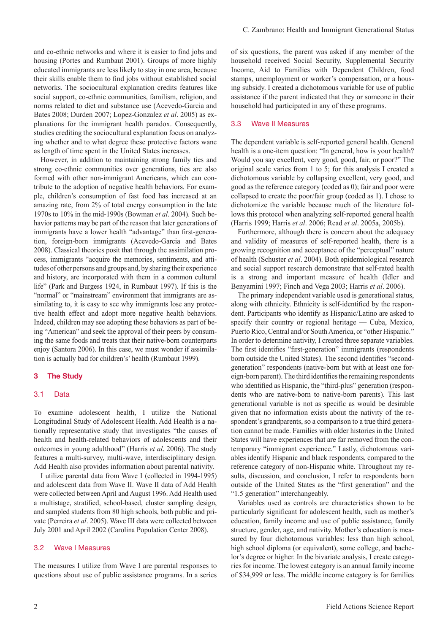and co-ethnic networks and where it is easier to find jobs and housing (Portes and Rumbaut 2001). Groups of more highly educated immigrants are less likely to stay in one area, because their skills enable them to find jobs without established social networks. The sociocultural explanation credits features like social support, co-ethnic communities, familism, religion, and norms related to diet and substance use (Acevedo-Garcia and Bates 2008; Durden 2007; Lopez-Gonzalez *et al*. 2005) as explanations for the immigrant health paradox. Consequently, studies crediting the sociocultural explanation focus on analyzing whether and to what degree these protective factors wane as length of time spent in the United States increases.

However, in addition to maintaining strong family ties and strong co-ethnic communities over generations, ties are also formed with other non-immigrant Americans, which can contribute to the adoption of negative health behaviors. For example, children's consumption of fast food has increased at an amazing rate, from 2% of total energy consumption in the late 1970s to 10% in the mid-1990s (Bowman *et al*. 2004). Such behavior patterns may be part of the reason that later generations of immigrants have a lower health "advantage" than first-generation, foreign-born immigrants (Acevedo-Garcia and Bates 2008). Classical theories posit that through the assimilation process, immigrants "acquire the memories, sentiments, and attitudes of other persons and groups and, by sharing their experience and history, are incorporated with them in a common cultural life" (Park and Burgess 1924, in Rumbaut 1997). If this is the "normal" or "mainstream" environment that immigrants are assimilating to, it is easy to see why immigrants lose any protective health effect and adopt more negative health behaviors. Indeed, children may see adopting these behaviors as part of being "American" and seek the approval of their peers by consuming the same foods and treats that their native-born counterparts enjoy (Santora 2006). In this case, we must wonder if assimilation is actually bad for children's' health (Rumbaut 1999).

#### 3 The Study

#### 3.1 Data

To examine adolescent health, I utilize the National Longitudinal Study of Adolescent Health. Add Health is a nationally representative study that investigates "the causes of health and health-related behaviors of adolescents and their outcomes in young adulthood" (Harris *et al*. 2006). The study features a multi-survey, multi-wave, interdisciplinary design. Add Health also provides information about parental nativity.

I utilize parental data from Wave I (collected in 1994-1995) and adolescent data from Wave II. Wave II data of Add Health were collected between April and August 1996. Add Health used a multistage, stratified, school-based, cluster sampling design, and sampled students from 80 high schools, both public and private (Perreira *et al*. 2005). Wave III data were collected between July 2001 and April 2002 (Carolina Population Center 2008).

#### 3.2 Wave I Measures

The measures I utilize from Wave I are parental responses to questions about use of public assistance programs. In a series of six questions, the parent was asked if any member of the household received Social Security, Supplemental Security Income, Aid to Families with Dependent Children, food stamps, unemployment or worker's compensation, or a housing subsidy. I created a dichotomous variable for use of public assistance if the parent indicated that they or someone in their household had participated in any of these programs.

#### 3.3 Wave II Measures

The dependent variable is self-reported general health. General health is a one-item question: "In general, how is your health? Would you say excellent, very good, good, fair, or poor?" The original scale varies from 1 to 5; for this analysis I created a dichotomous variable by collapsing excellent, very good, and good as the reference category (coded as 0); fair and poor were collapsed to create the poor/fair group (coded as 1). I chose to dichotomize the variable because much of the literature follows this protocol when analyzing self-reported general health (Harris 1999; Harris *et al*. 2006; Read *et al*. 2005a, 2005b).

Furthermore, although there is concern about the adequacy and validity of measures of self-reported health, there is a growing recognition and acceptance of the "perceptual" nature of health (Schuster *et al*. 2004). Both epidemiological research and social support research demonstrate that self-rated health is a strong and important measure of health (Idler and Benyamini 1997; Finch and Vega 2003; Harris *et al*. 2006).

The primary independent variable used is generational status, along with ethnicity. Ethnicity is self-identified by the respondent. Participants who identify as Hispanic/Latino are asked to specify their country or regional heritage — Cuba, Mexico, Puerto Rico, Central and/or South America, or "other Hispanic." In order to determine nativity, I created three separate variables. The first identifies "first-generation" immigrants (respondents born outside the United States). The second identifies "secondgeneration" respondents (native-born but with at least one foreign-born parent). The third identifies the remaining respondents who identified as Hispanic, the "third-plus" generation (respondents who are native-born to native-born parents). This last generational variable is not as specific as would be desirable given that no information exists about the nativity of the respondent's grandparents, so a comparison to a true third generation cannot be made. Families with older histories in the United States will have experiences that are far removed from the contemporary "immigrant experience." Lastly, dichotomous variables identify Hispanic and black respondents, compared to the reference category of non-Hispanic white. Throughout my results, discussion, and conclusion, I refer to respondents born outside of the United States as the "first generation" and the "1.5 generation" interchangeably.

Variables used as controls are characteristics shown to be particularly significant for adolescent health, such as mother's education, family income and use of public assistance, family structure, gender, age, and nativity. Mother's education is measured by four dichotomous variables: less than high school, high school diploma (or equivalent), some college, and bachelor's degree or higher. In the bivariate analysis, I create categories for income. The lowest category is an annual family income of \$34,999 or less. The middle income category is for families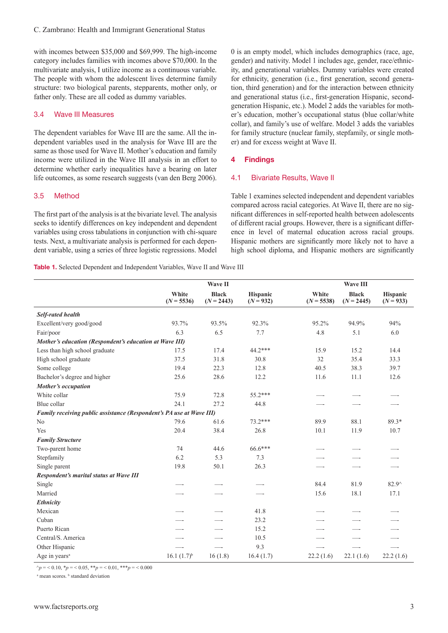with incomes between \$35,000 and \$69,999. The high-income category includes families with incomes above \$70,000. In the multivariate analysis, I utilize income as a continuous variable. The people with whom the adolescent lives determine family structure: two biological parents, stepparents, mother only, or father only. These are all coded as dummy variables.

#### 3.4 Wave III Measures

The dependent variables for Wave III are the same. All the independent variables used in the analysis for Wave III are the same as those used for Wave II. Mother's education and family income were utilized in the Wave III analysis in an effort to determine whether early inequalities have a bearing on later life outcomes, as some research suggests (van den Berg 2006).

#### 3.5 Method

The first part of the analysis is at the bivariate level. The analysis seeks to identify differences on key independent and dependent variables using cross tabulations in conjunction with chi-square tests. Next, a multivariate analysis is performed for each dependent variable, using a series of three logistic regressions. Model

0 is an empty model, which includes demographics (race, age, gender) and nativity. Model 1 includes age, gender, race/ethnicity, and generational variables. Dummy variables were created for ethnicity, generation (i.e., first generation, second generation, third generation) and for the interaction between ethnicity and generational status (i.e., first-generation Hispanic, secondgeneration Hispanic, etc.). Model 2 adds the variables for mother's education, mother's occupational status (blue collar/white collar), and family's use of welfare. Model 3 adds the variables for family structure (nuclear family, stepfamily, or single mother) and for excess weight at Wave II.

#### 4 Findings

#### 4.1 Bivariate Results, Wave II

Table 1 examines selected independent and dependent variables compared across racial categories. At Wave II, there are no significant differences in self-reported health between adolescents of different racial groups. However, there is a significant difference in level of maternal education across racial groups. Hispanic mothers are significantly more likely not to have a high school diploma, and Hispanic mothers are significantly

Table 1. Selected Dependent and Independent Variables, Wave II and Wave III

|                                                                      | Wave II               |                              |                         |                       | Wave III                     |                                |  |  |
|----------------------------------------------------------------------|-----------------------|------------------------------|-------------------------|-----------------------|------------------------------|--------------------------------|--|--|
|                                                                      | White<br>$(N = 5536)$ | <b>Black</b><br>$(N = 2443)$ | Hispanic<br>$(N = 932)$ | White<br>$(N = 5538)$ | <b>Black</b><br>$(N = 2445)$ | <b>Hispanic</b><br>$(N = 933)$ |  |  |
| <b>Self-rated health</b>                                             |                       |                              |                         |                       |                              |                                |  |  |
| Excellent/very good/good                                             | 93.7%                 | 93.5%                        | 92.3%                   | 95.2%                 | 94.9%                        | 94%                            |  |  |
| Fair/poor                                                            | 6.3                   | 6.5                          | 7.7                     | 4.8                   | 5.1                          | 6.0                            |  |  |
| Mother's education (Respondent's education at Wave III)              |                       |                              |                         |                       |                              |                                |  |  |
| Less than high school graduate                                       | 17.5                  | 17.4                         | $44.2***$               | 15.9                  | 15.2                         | 14.4                           |  |  |
| High school graduate                                                 | 37.5                  | 31.8                         | 30.8                    | 32                    | 35.4                         | 33.3                           |  |  |
| Some college                                                         | 19.4                  | 22.3                         | 12.8                    | 40.5                  | 38.3                         | 39.7                           |  |  |
| Bachelor's degree and higher                                         | 25.6                  | 28.6                         | 12.2                    | 11.6                  | 11.1                         | 12.6                           |  |  |
| Mother's occupation                                                  |                       |                              |                         |                       |                              |                                |  |  |
| White collar                                                         | 75.9                  | 72.8                         | 55.2***                 |                       |                              |                                |  |  |
| Blue collar                                                          | 24.1                  | 27.2                         | 44.8                    |                       |                              |                                |  |  |
| Family receiving public assistance (Respondent's PA use at Wave III) |                       |                              |                         |                       |                              |                                |  |  |
| No                                                                   | 79.6                  | 61.6                         | $73.2***$               | 89.9                  | 88.1                         | 89.3*                          |  |  |
| Yes                                                                  | 20.4                  | 38.4                         | 26.8                    | 10.1                  | 11.9                         | 10.7                           |  |  |
| <b>Family Structure</b>                                              |                       |                              |                         |                       |                              |                                |  |  |
| Two-parent home                                                      | 74                    | 44.6                         | 66.6***                 |                       |                              |                                |  |  |
| Stepfamily                                                           | 6.2                   | 5.3                          | 7.3                     |                       |                              |                                |  |  |
| Single parent                                                        | 19.8                  | 50.1                         | 26.3                    |                       |                              |                                |  |  |
| Respondent's marital status at Wave III                              |                       |                              |                         |                       |                              |                                |  |  |
| Single                                                               |                       |                              |                         | 84.4                  | 81.9                         | $82.9^{\wedge}$                |  |  |
| Married                                                              |                       |                              |                         | 15.6                  | 18.1                         | 17.1                           |  |  |
| Ethnicity                                                            |                       |                              |                         |                       |                              |                                |  |  |
| Mexican                                                              |                       |                              | 41.8                    |                       |                              |                                |  |  |
| Cuban                                                                |                       |                              | 23.2                    |                       |                              |                                |  |  |
| Puerto Rican                                                         |                       |                              | 15.2                    |                       |                              |                                |  |  |
| Central/S. America                                                   |                       |                              | 10.5                    |                       |                              |                                |  |  |
| Other Hispanic                                                       |                       |                              | 9.3                     |                       |                              |                                |  |  |
| Age in years <sup>a</sup>                                            | $16.1 (1.7)^{b}$      | 16(1.8)                      | 16.4(1.7)               | 22.2(1.6)             | 22.1(1.6)                    | 22.2(1.6)                      |  |  |

 $\gamma_p = 0.10$ ,  $\gamma_p = 0.05$ ,  $\gamma_p = 0.01$ ,  $\gamma_p = 0.000$ 

<sup>a</sup> mean scores. <sup>b</sup> standard deviation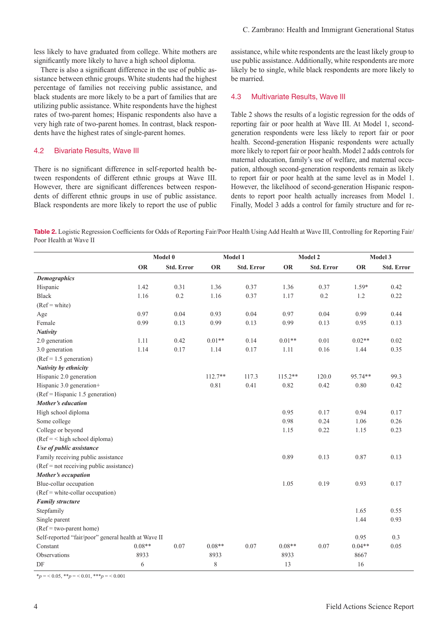less likely to have graduated from college. White mothers are significantly more likely to have a high school diploma.

There is also a significant difference in the use of public assistance between ethnic groups. White students had the highest percentage of families not receiving public assistance, and black students are more likely to be a part of families that are utilizing public assistance. White respondents have the highest rates of two-parent homes; Hispanic respondents also have a very high rate of two-parent homes. In contrast, black respondents have the highest rates of single-parent homes.

#### 4.2 Bivariate Results, Wave III

There is no significant difference in self-reported health between respondents of different ethnic groups at Wave III. However, there are significant differences between respondents of different ethnic groups in use of public assistance. Black respondents are more likely to report the use of public assistance, while white respondents are the least likely group to use public assistance. Additionally, white respondents are more likely be to single, while black respondents are more likely to be married.

#### 4.3 Multivariate Results, Wave III

Table 2 shows the results of a logistic regression for the odds of reporting fair or poor health at Wave III. At Model 1, secondgeneration respondents were less likely to report fair or poor health. Second-generation Hispanic respondents were actually more likely to report fair or poor health. Model 2 adds controls for maternal education, family's use of welfare, and maternal occupation, although second-generation respondents remain as likely to report fair or poor health at the same level as in Model 1. However, the likelihood of second-generation Hispanic respondents to report poor health actually increases from Model 1. Finally, Model 3 adds a control for family structure and for re-

Table 2. Logistic Regression Coefficients for Odds of Reporting Fair/Poor Health Using Add Health at Wave III, Controlling for Reporting Fair/ Poor Health at Wave II

|                                                     | Model 0   |                   | Model 1   |            | Model 2   |                   | Model 3   |            |
|-----------------------------------------------------|-----------|-------------------|-----------|------------|-----------|-------------------|-----------|------------|
|                                                     | <b>OR</b> | <b>Std. Error</b> | OR        | Std. Error | <b>OR</b> | <b>Std. Error</b> | <b>OR</b> | Std. Error |
| <b>Demographics</b>                                 |           |                   |           |            |           |                   |           |            |
| Hispanic                                            | 1.42      | 0.31              | 1.36      | 0.37       | 1.36      | 0.37              | $1.59*$   | 0.42       |
| <b>Black</b>                                        | 1.16      | 0.2               | 1.16      | 0.37       | 1.17      | 0.2               | 1.2       | 0.22       |
| $(Ref = white)$                                     |           |                   |           |            |           |                   |           |            |
| Age                                                 | 0.97      | 0.04              | 0.93      | 0.04       | 0.97      | 0.04              | 0.99      | 0.44       |
| Female                                              | 0.99      | 0.13              | 0.99      | 0.13       | 0.99      | 0.13              | 0.95      | 0.13       |
| <b>Nativity</b>                                     |           |                   |           |            |           |                   |           |            |
| 2.0 generation                                      | 1.11      | 0.42              | $0.01**$  | 0.14       | $0.01**$  | 0.01              | $0.02**$  | 0.02       |
| 3.0 generation                                      | 1.14      | 0.17              | 1.14      | 0.17       | 1.11      | 0.16              | 1.44      | 0.35       |
| $(Ref = 1.5 generation)$                            |           |                   |           |            |           |                   |           |            |
| Nativity by ethnicity                               |           |                   |           |            |           |                   |           |            |
| Hispanic 2.0 generation                             |           |                   | $112.7**$ | 117.3      | $115.2**$ | 120.0             | 95.74**   | 99.3       |
| Hispanic 3.0 generation+                            |           |                   | 0.81      | 0.41       | 0.82      | 0.42              | 0.80      | 0.42       |
| $(Ref = Hispanic 1.5 generation)$                   |           |                   |           |            |           |                   |           |            |
| Mother's education                                  |           |                   |           |            |           |                   |           |            |
| High school diploma                                 |           |                   |           |            | 0.95      | 0.17              | 0.94      | 0.17       |
| Some college                                        |           |                   |           |            | 0.98      | 0.24              | 1.06      | 0.26       |
| College or beyond                                   |           |                   |           |            | 1.15      | 0.22              | 1.15      | 0.23       |
| $(Ref = < high school diploma)$                     |           |                   |           |            |           |                   |           |            |
| Use of public assistance                            |           |                   |           |            |           |                   |           |            |
| Family receiving public assistance                  |           |                   |           |            | 0.89      | 0.13              | 0.87      | 0.13       |
| (Ref = not receiving public assistance)             |           |                   |           |            |           |                   |           |            |
| Mother's occupation                                 |           |                   |           |            |           |                   |           |            |
| Blue-collar occupation                              |           |                   |           |            | 1.05      | 0.19              | 0.93      | 0.17       |
| (Ref = white-collar occupation)                     |           |                   |           |            |           |                   |           |            |
| <b>Family structure</b>                             |           |                   |           |            |           |                   |           |            |
| Stepfamily                                          |           |                   |           |            |           |                   | 1.65      | 0.55       |
| Single parent                                       |           |                   |           |            |           |                   | 1.44      | 0.93       |
| $(Ref = two-part home)$                             |           |                   |           |            |           |                   |           |            |
| Self-reported "fair/poor" general health at Wave II |           |                   |           |            |           |                   | 0.95      | 0.3        |
| Constant                                            | $0.08**$  | 0.07              | $0.08**$  | 0.07       | $0.08**$  | 0.07              | $0.04**$  | 0.05       |
| Observations                                        | 8933      |                   | 8933      |            | 8933      |                   | 8667      |            |
| $\rm DF$                                            | 6         |                   | $8\,$     |            | 13        |                   | 16        |            |

 $*_p = 0.05$ ,  $*_p = 0.01$ ,  $**_p = 0.001$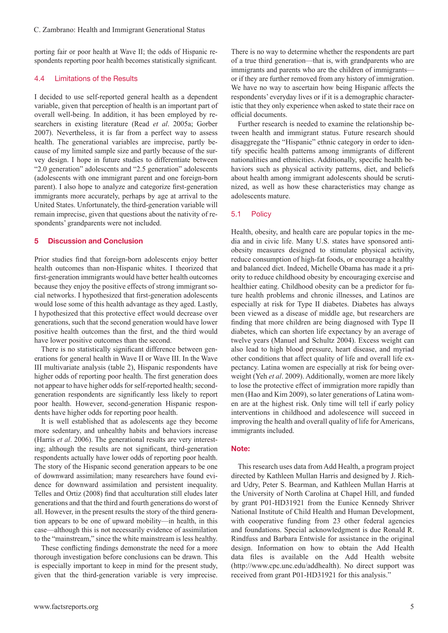porting fair or poor health at Wave II; the odds of Hispanic respondents reporting poor health becomes statistically significant.

#### 4.4 Limitations of the Results

I decided to use self-reported general health as a dependent variable, given that perception of health is an important part of overall well-being. In addition, it has been employed by researchers in existing literature (Read *et al*. 2005a; Gorber 2007). Nevertheless, it is far from a perfect way to assess health. The generational variables are imprecise, partly because of my limited sample size and partly because of the survey design. I hope in future studies to differentiate between "2.0 generation" adolescents and "2.5 generation" adolescents (adolescents with one immigrant parent and one foreign-born parent). I also hope to analyze and categorize first-generation immigrants more accurately, perhaps by age at arrival to the United States. Unfortunately, the third-generation variable will remain imprecise, given that questions about the nativity of respondents' grandparents were not included.

#### **Discussion and Conclusion**

Prior studies find that foreign-born adolescents enjoy better health outcomes than non-Hispanic whites. I theorized that first-generation immigrants would have better health outcomes because they enjoy the positive effects of strong immigrant social networks. I hypothesized that first-generation adolescents would lose some of this health advantage as they aged. Lastly, I hypothesized that this protective effect would decrease over generations, such that the second generation would have lower positive health outcomes than the first, and the third would have lower positive outcomes than the second.

There is no statistically significant difference between generations for general health in Wave II or Wave III. In the Wave III multivariate analysis (table 2), Hispanic respondents have higher odds of reporting poor health. The first generation does not appear to have higher odds for self-reported health; secondgeneration respondents are significantly less likely to report poor health. However, second-generation Hispanic respondents have higher odds for reporting poor health.

It is well established that as adolescents age they become more sedentary, and unhealthy habits and behaviors increase (Harris *et al*. 2006). The generational results are very interesting; although the results are not significant, third-generation respondents actually have lower odds of reporting poor health. The story of the Hispanic second generation appears to be one of downward assimilation; many researchers have found evidence for downward assimilation and persistent inequality. Telles and Ortiz (2008) find that acculturation still eludes later generations and that the third and fourth generations do worst of all. However, in the present results the story of the third generation appears to be one of upward mobility—in health, in this case—although this is not necessarily evidence of assimilation to the "mainstream," since the white mainstream is less healthy.

These conflicting findings demonstrate the need for a more thorough investigation before conclusions can be drawn. This is especially important to keep in mind for the present study, given that the third-generation variable is very imprecise. There is no way to determine whether the respondents are part of a true third generation—that is, with grandparents who are immigrants and parents who are the children of immigrants or if they are further removed from any history of immigration. We have no way to ascertain how being Hispanic affects the respondents' everyday lives or if it is a demographic characteristic that they only experience when asked to state their race on official documents.

Further research is needed to examine the relationship between health and immigrant status. Future research should disaggregate the "Hispanic" ethnic category in order to identify specific health patterns among immigrants of different nationalities and ethnicities. Additionally, specific health behaviors such as physical activity patterns, diet, and beliefs about health among immigrant adolescents should be scrutinized, as well as how these characteristics may change as adolescents mature.

#### 5.1 Policy

Health, obesity, and health care are popular topics in the media and in civic life. Many U.S. states have sponsored antiobesity measures designed to stimulate physical activity, reduce consumption of high-fat foods, or encourage a healthy and balanced diet. Indeed, Michelle Obama has made it a priority to reduce childhood obesity by encouraging exercise and healthier eating. Childhood obesity can be a predictor for future health problems and chronic illnesses, and Latinos are especially at risk for Type II diabetes. Diabetes has always been viewed as a disease of middle age, but researchers are finding that more children are being diagnosed with Type II diabetes, which can shorten life expectancy by an average of twelve years (Manuel and Schultz 2004). Excess weight can also lead to high blood pressure, heart disease, and myriad other conditions that affect quality of life and overall life expectancy. Latina women are especially at risk for being overweight (Yeh *et al*. 2009). Additionally, women are more likely to lose the protective effect of immigration more rapidly than men (Hao and Kim 2009), so later generations of Latina women are at the highest risk. Only time will tell if early policy interventions in childhood and adolescence will succeed in improving the health and overall quality of life for Americans, immigrants included.

#### Note:

This research uses data from Add Health, a program project directed by Kathleen Mullan Harris and designed by J. Richard Udry, Peter S. Bearman, and Kathleen Mullan Harris at the University of North Carolina at Chapel Hill, and funded by grant P01-HD31921 from the Eunice Kennedy Shriver National Institute of Child Health and Human Development, with cooperative funding from 23 other federal agencies and foundations. Special acknowledgment is due Ronald R. Rindfuss and Barbara Entwisle for assistance in the original design. Information on how to obtain the Add Health data files is available on the Add Health website (http://www.cpc.unc.edu/addhealth). No direct support was received from grant P01-HD31921 for this analysis."